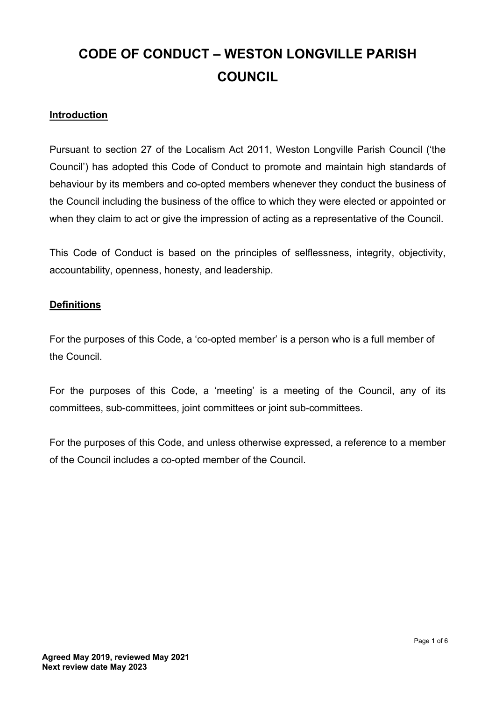# **CODE OF CONDUCT – WESTON LONGVILLE PARISH COUNCIL**

## **Introduction**

Pursuant to section 27 of the Localism Act 2011, Weston Longville Parish Council ('the Council') has adopted this Code of Conduct to promote and maintain high standards of behaviour by its members and co-opted members whenever they conduct the business of the Council including the business of the office to which they were elected or appointed or when they claim to act or give the impression of acting as a representative of the Council.

This Code of Conduct is based on the principles of selflessness, integrity, objectivity, accountability, openness, honesty, and leadership.

## **Definitions**

For the purposes of this Code, a 'co-opted member' is a person who is a full member of the Council.

For the purposes of this Code, a 'meeting' is a meeting of the Council, any of its committees, sub-committees, joint committees or joint sub-committees.

For the purposes of this Code, and unless otherwise expressed, a reference to a member of the Council includes a co-opted member of the Council.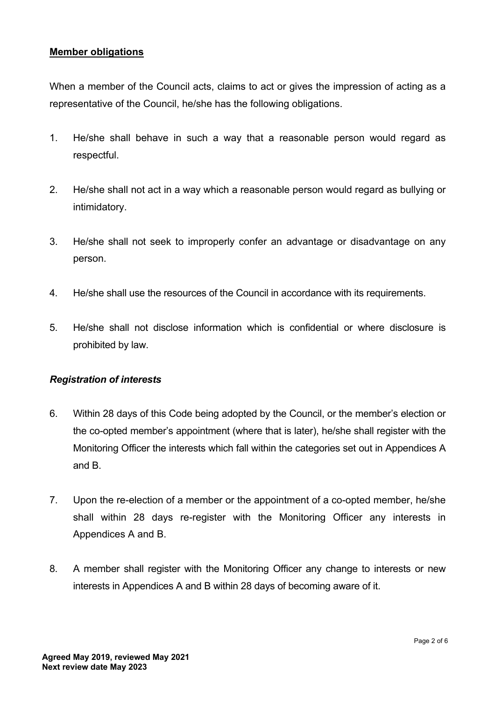## **Member obligations**

When a member of the Council acts, claims to act or gives the impression of acting as a representative of the Council, he/she has the following obligations.

- 1. He/she shall behave in such a way that a reasonable person would regard as respectful.
- 2. He/she shall not act in a way which a reasonable person would regard as bullying or intimidatory.
- 3. He/she shall not seek to improperly confer an advantage or disadvantage on any person.
- 4. He/she shall use the resources of the Council in accordance with its requirements.
- 5. He/she shall not disclose information which is confidential or where disclosure is prohibited by law.

#### *Registration of interests*

- 6. Within 28 days of this Code being adopted by the Council, or the member's election or the co-opted member's appointment (where that is later), he/she shall register with the Monitoring Officer the interests which fall within the categories set out in Appendices A and B.
- 7. Upon the re-election of a member or the appointment of a co-opted member, he/she shall within 28 days re-register with the Monitoring Officer any interests in Appendices A and B.
- 8. A member shall register with the Monitoring Officer any change to interests or new interests in Appendices A and B within 28 days of becoming aware of it.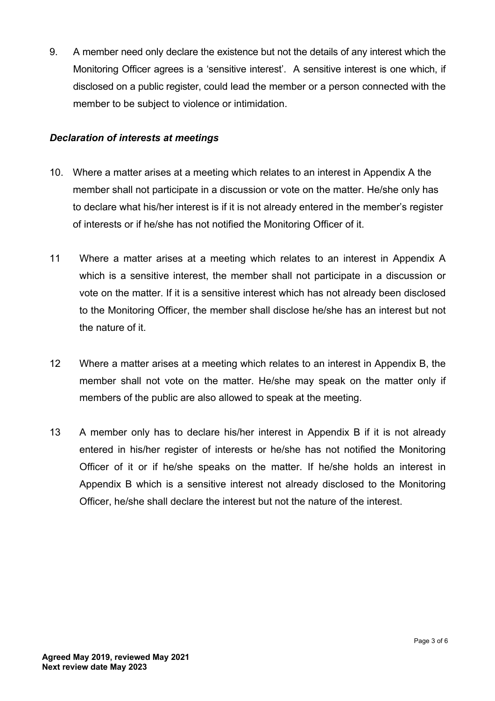9. A member need only declare the existence but not the details of any interest which the Monitoring Officer agrees is a 'sensitive interest'. A sensitive interest is one which, if disclosed on a public register, could lead the member or a person connected with the member to be subject to violence or intimidation.

## *Declaration of interests at meetings*

- 10. Where a matter arises at a meeting which relates to an interest in Appendix A the member shall not participate in a discussion or vote on the matter. He/she only has to declare what his/her interest is if it is not already entered in the member's register of interests or if he/she has not notified the Monitoring Officer of it.
- 11 Where a matter arises at a meeting which relates to an interest in Appendix A which is a sensitive interest, the member shall not participate in a discussion or vote on the matter. If it is a sensitive interest which has not already been disclosed to the Monitoring Officer, the member shall disclose he/she has an interest but not the nature of it.
- 12 Where a matter arises at a meeting which relates to an interest in Appendix B, the member shall not vote on the matter. He/she may speak on the matter only if members of the public are also allowed to speak at the meeting.
- 13 A member only has to declare his/her interest in Appendix B if it is not already entered in his/her register of interests or he/she has not notified the Monitoring Officer of it or if he/she speaks on the matter. If he/she holds an interest in Appendix B which is a sensitive interest not already disclosed to the Monitoring Officer, he/she shall declare the interest but not the nature of the interest.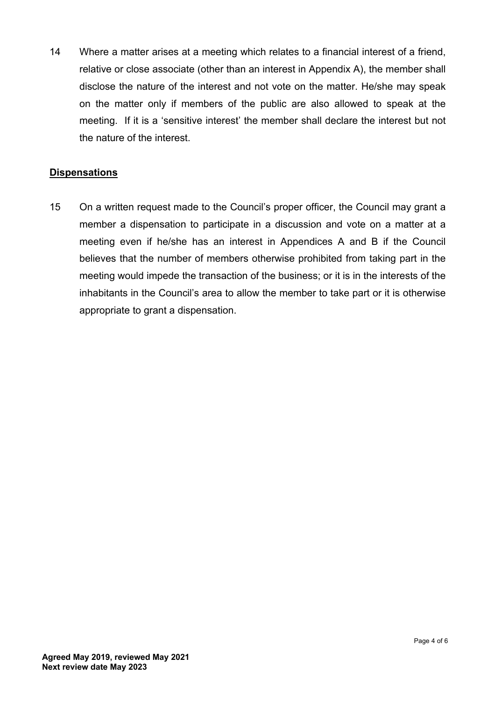14 Where a matter arises at a meeting which relates to a financial interest of a friend, relative or close associate (other than an interest in Appendix A), the member shall disclose the nature of the interest and not vote on the matter. He/she may speak on the matter only if members of the public are also allowed to speak at the meeting. If it is a 'sensitive interest' the member shall declare the interest but not the nature of the interest.

## **Dispensations**

15 On a written request made to the Council's proper officer, the Council may grant a member a dispensation to participate in a discussion and vote on a matter at a meeting even if he/she has an interest in Appendices A and B if the Council believes that the number of members otherwise prohibited from taking part in the meeting would impede the transaction of the business; or it is in the interests of the inhabitants in the Council's area to allow the member to take part or it is otherwise appropriate to grant a dispensation.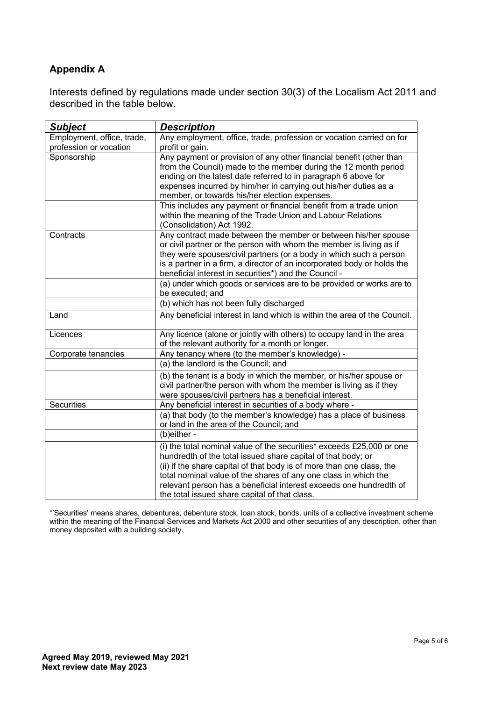## **Appendix A**

Interests defined by regulations made under section 30(3) of the Localism Act 2011 and described in the table below.

| <b>Subject</b>                                       | <b>Description</b>                                                                                                                                                                                                                                                                                                                              |
|------------------------------------------------------|-------------------------------------------------------------------------------------------------------------------------------------------------------------------------------------------------------------------------------------------------------------------------------------------------------------------------------------------------|
| Employment, office, trade,<br>profession or vocation | Any employment, office, trade, profession or vocation carried on for<br>profit or gain.                                                                                                                                                                                                                                                         |
| Sponsorship                                          | Any payment or provision of any other financial benefit (other than<br>from the Council) made to the member during the 12 month period<br>ending on the latest date referred to in paragraph 6 above for<br>expenses incurred by him/her in carrying out his/her duties as a<br>member, or towards his/her election expenses.                   |
|                                                      | This includes any payment or financial benefit from a trade union<br>within the meaning of the Trade Union and Labour Relations<br>(Consolidation) Act 1992.                                                                                                                                                                                    |
| Contracts                                            | Any contract made between the member or between his/her spouse<br>or civil partner or the person with whom the member is living as if<br>they were spouses/civil partners (or a body in which such a person<br>is a partner in a firm, a director of an incorporated body or holds the<br>beneficial interest in securities*) and the Council - |
|                                                      | (a) under which goods or services are to be provided or works are to<br>be executed; and                                                                                                                                                                                                                                                        |
|                                                      | (b) which has not been fully discharged                                                                                                                                                                                                                                                                                                         |
| Land                                                 | Any beneficial interest in land which is within the area of the Council.                                                                                                                                                                                                                                                                        |
| Licences                                             | Any licence (alone or jointly with others) to occupy land in the area<br>of the relevant authority for a month or longer.                                                                                                                                                                                                                       |
| Corporate tenancies                                  | Any tenancy where (to the member's knowledge) -                                                                                                                                                                                                                                                                                                 |
|                                                      | (a) the landlord is the Council; and                                                                                                                                                                                                                                                                                                            |
|                                                      | (b) the tenant is a body in which the member, or his/her spouse or<br>civil partner/the person with whom the member is living as if they<br>were spouses/civil partners has a beneficial interest.                                                                                                                                              |
| <b>Securities</b>                                    | Any beneficial interest in securities of a body where -                                                                                                                                                                                                                                                                                         |
|                                                      | (a) that body (to the member's knowledge) has a place of business<br>or land in the area of the Council; and                                                                                                                                                                                                                                    |
|                                                      | (b)either -                                                                                                                                                                                                                                                                                                                                     |
|                                                      | (i) the total nominal value of the securities* exceeds £25,000 or one<br>hundredth of the total issued share capital of that body; or                                                                                                                                                                                                           |
|                                                      | (ii) if the share capital of that body is of more than one class, the<br>total nominal value of the shares of any one class in which the<br>relevant person has a beneficial interest exceeds one hundredth of<br>the total issued share capital of that class.                                                                                 |

\*'Securities' means shares, debentures, debenture stock, loan stock, bonds, units of a collective investment scheme within the meaning of the Financial Services and Markets Act 2000 and other securities of any description, other than money deposited with a building society.